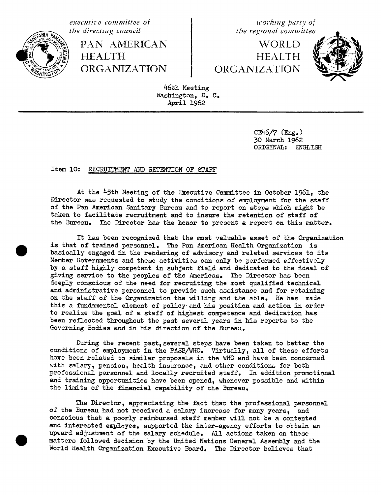

PAN AMERICAN WORLD<br>HEALTH HEALTH HEALTH HEALTH HEALTH

**executive** committee of  $\begin{cases} x \neq 0 \text{ and } x \neq 0 \text{,} \\ y \neq 0 \text{ and } x \neq 0 \text{.} \end{cases}$  the directing council

ORGANIZATION ORGANIZATION



46th Meeting Washington, D. C. April 1962

> CE46/7 (Eng.) 30 March 1962 ORIGINAL: ENG**L**ISH

## Item lC: RECRUITMENT AND RETENTION OF STAFF

At the 45th Meeting of the Executive Committee in October 1961. the Director was requested to study the conditions of employment for the staff of the Pan American Sanitary Bureau and to report on steps which might be taken to facilitate recruitment and to insure the retention of staff of the Bureau. The Director has the honor to present a report on this matter.

It has been recognized that the most valuable asset of the Organization is that cf trained personnel. The Pan American Health Organization is basically engaged in the rendering of advisory and related services to its Member GoVernments and these activities can only be performed effectively by a staff highly competent in subject field and dedicated to the ideal of giving service to the peoples of the Americas. The Director has been deeply conscious of the need for recruiting the most qualified technical and administrative personnel to provide such assistance and for retaining on the staff of the Organization the willing and the able. He has made this a fundamental element of policy and his position and action in order to realize the goal of a staff of highest competence and dedication has been reflected throughout the past several years in his reports to the Governing Bodies and in his direction of the Bureau.

During the recent past, several steps have been taken to better the conditions of employment in the PASB**/**WHO. Virtually, all of these efforts have been related to similar proposals in the WHO and have been concerned with salary, pension, health insurance, and other conditions for both professional personnel and locally recruited staff. In addition promotienal and training opportunities have been opened, whenever possible and within the limits of the financial capability of the Bureau.

The Director, appreciating the fact that the professional personnel of the Bureau had not received a salary increase for many years, and conscious that a poorly reimbursed staff member will not be a contented and interested employee, supported the inter-agency efforts to obtain an upward adjustment of the salary schedule. All actions taken on these matters followed decision by the United Nations General Assembly and the World Health Organization Executive Board. The Director believes that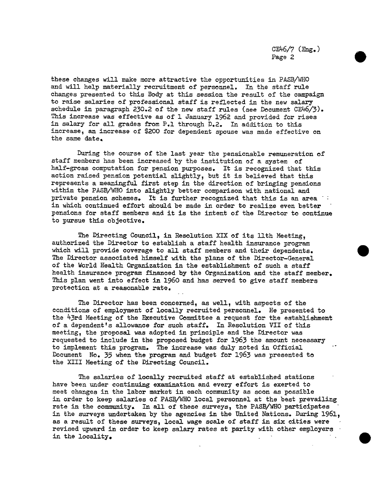c 6**/**7(Eng.) Page 2

these changes will make more attractive the opport\_ties in PASB**/**WHO and will help materially recruitment of personnel. In the staff rule changes presented to this Body at this session the result of the campaign to raise salaries of professional staff is reflected in the new salary schedule in paragraph 230.2 of the new staff rules (see Document CE46**/**3). This increase was effective as of I Ja**n**uary 1962 and provided for rises in salary for all grades from P.1 through D.2. In addition to this increase, an increase of \$200 for dependent spouse was made effective on the same date.

During the course of the last year the pensionable remuneration of staff members has been increased by the institution of a system of half-gross computation for pension purposes. It is recognized that this action raised pension potential slightly, but it is believed that this represents a meaningful first step in the direction of bringing pensions within the PASB**/**WHO into slightly better comparison with national and private pension schemes. It is further recog**n**ized that this is an area in which continued effort should be made in order to realize even better pensions for staff members and it is the intent of the Director to conti**n**ue to pursue this objective.

The Directing Council, in Resolution XIX of its llth Meeting, authorized the Director to establish a staff health insurance program which will provide coverage to all staff members and their dependents. The Director associated himself with the plans of the Director-General of the World Health Organization in the establishment of such a staff health insurance program financed by the Organization and the staff member. This plan went into effect in 1960 and has served to give staff members protection at a reasonable rate.

The Director has bee**n** concerned, as well, with aspects of the conditions of employment **o**f locally recruited person**n**el. He presented to the 43rd Meeting of the Executive C**o**mmittee a request for the establishment of a dependent's allowance for such staff. In Resolution VII of this meeting, the proposal was adopted in principle and the Director was requested to include in the proposed budget for 1963 the amou**n**t necessary to implement this program. The increase was duly noted in Official Document No. 35 when the program and budget for 1963 was presented to the XIII Meeting of the Directing Co**u**ncil.

The salaries of locally recruited staff at established stations have been under continui**n**g examination and every effort is exerted to meet changes in the labor market in each commu**n**ity as soon as possible in order to keep salaries of PASB**/**WHO local person**n**el at the best prevailing rate in the community. In all of these surveys, the PASB**/**WHO participates in the surveys undertaken by the agencies in the United Nations. During 1961. as a result of these surveys, local wage sc**a**le of staff in six cities were revised upward in order to keep salary rates at parity with other employers in the locality.